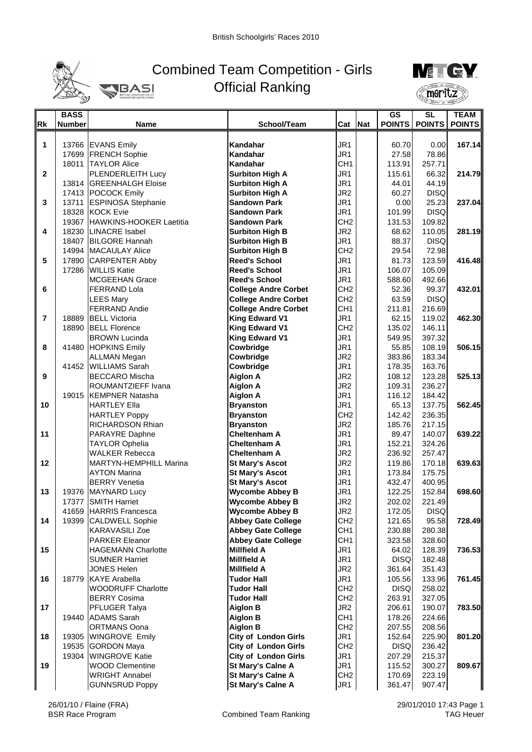

## Combined Team Competition - Girls Official Ranking



|              | <b>BASS</b>   |                                             |                             |                 |     | GS            | SL               | <b>TEAM</b>   |
|--------------|---------------|---------------------------------------------|-----------------------------|-----------------|-----|---------------|------------------|---------------|
| <b>Rk</b>    | <b>Number</b> | <b>Name</b>                                 | School/Team                 | Cat             | Nat | <b>POINTS</b> | <b>POINTS</b>    | <b>POINTS</b> |
|              |               |                                             |                             |                 |     |               |                  |               |
| 1            |               | 13766 EVANS Emily                           | Kandahar                    | JR <sub>1</sub> |     | 60.70         | 0.00             | 167.14        |
|              |               | 17699 FRENCH Sophie                         | Kandahar                    | JR1             |     | 27.58         | 78.86            |               |
|              |               | 18011 TAYLOR Alice                          | Kandahar                    | CH <sub>1</sub> |     | 113.91        | 257.71           |               |
| $\mathbf{2}$ |               | <b>PLENDERLEITH Lucy</b>                    | <b>Surbiton High A</b>      | JR1             |     | 115.61        | 66.32            | 214.79        |
|              |               | 13814 GREENHALGH Eloise                     | <b>Surbiton High A</b>      | JR <sub>1</sub> |     | 44.01         | 44.19            |               |
|              |               | 17413 POCOCK Emily                          | <b>Surbiton High A</b>      | JR <sub>2</sub> |     | 60.27         | <b>DISQ</b>      |               |
| 3            |               | 13711 ESPINOSA Stephanie                    | <b>Sandown Park</b>         | JR1             |     | 0.00          | 25.23            | 237.04        |
|              |               | 18328 KOCK Evie                             | <b>Sandown Park</b>         | JR1             |     | 101.99        | <b>DISQ</b>      |               |
|              |               | 19367 HAWKINS-HOOKER Laetitia               | <b>Sandown Park</b>         | CH <sub>2</sub> |     | 131.53        | 109.82           |               |
| 4            |               | 18230 LINACRE Isabel                        | <b>Surbiton High B</b>      | JR <sub>2</sub> |     | 68.62         | 110.05           | 281.19        |
|              |               | 18407 BILGORE Hannah                        | <b>Surbiton High B</b>      | JR <sub>1</sub> |     | 88.37         | <b>DISQ</b>      |               |
|              |               | 14994 MACAULAY Alice                        | <b>Surbiton High B</b>      | CH <sub>2</sub> |     | 29.54         | 72.98            |               |
| 5            |               | 17890 CARPENTER Abby                        | <b>Reed's School</b>        | JR1             |     | 81.73         | 123.59           | 416.48        |
|              |               | 17286 WILLIS Katie                          | <b>Reed's School</b>        | JR1             |     | 106.07        | 105.09           |               |
|              |               | <b>MCGEEHAN Grace</b>                       | <b>Reed's School</b>        | JR <sub>1</sub> |     | 588.60        | 492.66           |               |
| 6            |               | <b>FERRAND Lola</b>                         | <b>College Andre Corbet</b> | CH <sub>2</sub> |     | 52.36         | 99.37            | 432.01        |
|              |               | <b>LEES Mary</b>                            | <b>College Andre Corbet</b> | CH <sub>2</sub> |     | 63.59         | <b>DISQ</b>      |               |
|              |               | <b>FERRAND Andie</b>                        | <b>College Andre Corbet</b> | CH <sub>1</sub> |     | 211.81        | 216.69           |               |
| 7            |               | 18889 BELL Victoria                         | <b>King Edward V1</b>       | JR1             |     | 62.15         | 119.02           | 462.30        |
|              |               | 18890 BELL Florence                         | <b>King Edward V1</b>       | CH <sub>2</sub> |     | 135.02        | 146.11           |               |
|              |               | <b>BROWN Lucinda</b>                        | <b>King Edward V1</b>       | JR <sub>1</sub> |     | 549.95        | 397.32           |               |
| 8            |               | 41480 HOPKINS Emily                         | Cowbridge                   | JR <sub>1</sub> |     | 55.85         | 108.19           | 506.15        |
|              |               |                                             | Cowbridge                   | JR <sub>2</sub> |     | 383.86        |                  |               |
|              |               | <b>ALLMAN Megan</b><br>41452 WILLIAMS Sarah | Cowbridge                   | JR1             |     | 178.35        | 183.34<br>163.76 |               |
| 9            |               | <b>BECCARO Mischa</b>                       | <b>Aiglon A</b>             | JR <sub>2</sub> |     | 108.12        | 123.28           | 525.13        |
|              |               |                                             |                             | JR <sub>2</sub> |     |               | 236.27           |               |
|              |               | ROUMANTZIEFF Ivana                          | <b>Aiglon A</b>             |                 |     | 109.31        |                  |               |
|              |               | 19015 KEMPNER Natasha                       | <b>Aiglon A</b>             | JR1             |     | 116.12        | 184.42           |               |
| 10           |               | <b>HARTLEY Ella</b>                         | <b>Bryanston</b>            | JR1             |     | 65.13         | 137.75           | 562.45        |
|              |               | <b>HARTLEY Poppy</b>                        | <b>Bryanston</b>            | CH <sub>2</sub> |     | 142.42        | 236.35           |               |
|              |               | RICHARDSON Rhian                            | <b>Bryanston</b>            | JR <sub>2</sub> |     | 185.76        | 217.15           |               |
| 11           |               | <b>PARAYRE Daphne</b>                       | <b>Cheltenham A</b>         | JR <sub>1</sub> |     | 89.47         | 140.07           | 639.22        |
|              |               | <b>TAYLOR Ophelia</b>                       | <b>Cheltenham A</b>         | JR1             |     | 152.21        | 324.26           |               |
|              |               | <b>WALKER Rebecca</b>                       | <b>Cheltenham A</b>         | JR <sub>2</sub> |     | 236.92        | 257.47           |               |
| 12           |               | <b>MARTYN-HEMPHILL Marina</b>               | <b>St Mary's Ascot</b>      | JR <sub>2</sub> |     | 119.86        | 170.18           | 639.63        |
|              |               | <b>AYTON Marina</b>                         | <b>St Mary's Ascot</b>      | JR1             |     | 173.84        | 175.75           |               |
|              |               | <b>BERRY</b> Venetia                        | <b>St Mary's Ascot</b>      | JR <sub>1</sub> |     | 432.47        | 400.95           |               |
| 13           |               | 19376 MAYNARD Lucy                          | <b>Wycombe Abbey B</b>      | JR <sub>1</sub> |     | 122.25        | 152.84           | 698.60        |
|              | 17377         | <b>SMITH Harriet</b>                        | <b>Wycombe Abbey B</b>      | JR <sub>2</sub> |     | 202.02        | 221.49           |               |
|              |               | 41659 HARRIS Francesca                      | <b>Wycombe Abbey B</b>      | JR <sub>2</sub> |     | 172.05        | <b>DISQ</b>      |               |
| 14           |               | 19399 CALDWELL Sophie                       | <b>Abbey Gate College</b>   | CH <sub>2</sub> |     | 121.65        | 95.58            | 728.49        |
|              |               | <b>KARAVASILI Zoe</b>                       | <b>Abbey Gate College</b>   | CH <sub>1</sub> |     | 230.88        | 280.38           |               |
|              |               | <b>PARKER Eleanor</b>                       | <b>Abbey Gate College</b>   | CH1             |     | 323.58        | 328.60           |               |
| 15           |               | <b>HAGEMANN Charlotte</b>                   | <b>Millfield A</b>          | JR1             |     | 64.02         | 128.39           | 736.53        |
|              |               | <b>SUMNER Harriet</b>                       | <b>Millfield A</b>          | JR1             |     | <b>DISQ</b>   | 182.48           |               |
|              |               | <b>JONES Helen</b>                          | <b>Millfield A</b>          | JR <sub>2</sub> |     | 361.64        | 351.43           |               |
| 16           |               | 18779 KAYE Arabella                         | <b>Tudor Hall</b>           | JR1             |     | 105.56        | 133.96           | 761.45        |
|              |               | <b>WOODRUFF Charlotte</b>                   | <b>Tudor Hall</b>           | CH <sub>2</sub> |     | <b>DISQ</b>   | 258.02           |               |
|              |               | <b>BERRY Cosima</b>                         | <b>Tudor Hall</b>           | CH <sub>2</sub> |     | 263.91        | 327.05           |               |
| 17           |               | PFLUGER Talya                               | <b>Aiglon B</b>             | JR <sub>2</sub> |     | 206.61        | 190.07           | 783.50        |
|              |               | 19440 ADAMS Sarah                           | <b>Aiglon B</b>             | CH <sub>1</sub> |     | 178.26        | 224.66           |               |
|              |               | <b>ORTMANS Oona</b>                         | <b>Aiglon B</b>             | CH <sub>2</sub> |     | 207.55        | 208.56           |               |
| 18           |               | 19305 WINGROVE Emily                        | <b>City of London Girls</b> | JR1             |     | 152.64        | 225.90           | 801.20        |
|              |               | 19535 GORDON Maya                           | <b>City of London Girls</b> | CH <sub>2</sub> |     | <b>DISQ</b>   | 236.42           |               |
|              |               | 19304 WINGROVE Katie                        | <b>City of London Girls</b> | JR1             |     | 207.29        | 215.37           |               |
| 19           |               | <b>WOOD Clementine</b>                      | <b>St Mary's Calne A</b>    | JR <sub>1</sub> |     | 115.52        | 300.27           | 809.67        |
|              |               | <b>WRIGHT Annabel</b>                       | <b>St Mary's Calne A</b>    | CH <sub>2</sub> |     | 170.69        | 223.19           |               |
|              |               | <b>GUNNSRUD Poppy</b>                       | St Mary's Calne A           | JR <sub>1</sub> |     | 361.47        | 907.47           |               |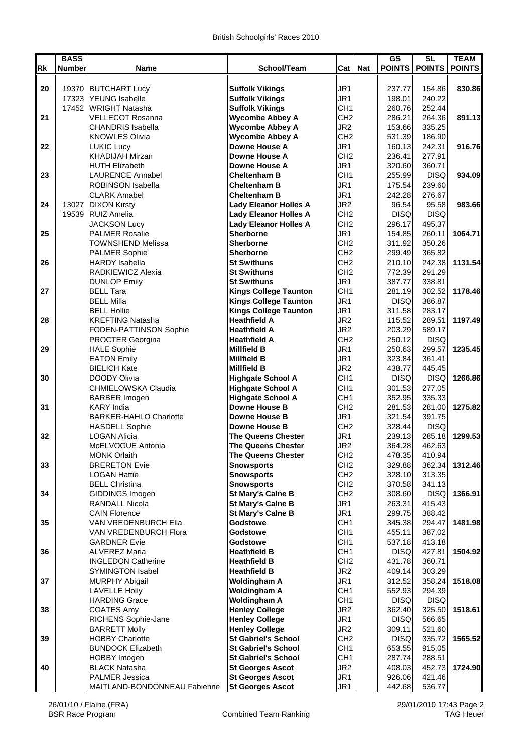|    | <b>BASS</b>   |                                           |                                                      |                        |            | <b>GS</b>             | <b>SL</b>             | <b>TEAM</b>   |
|----|---------------|-------------------------------------------|------------------------------------------------------|------------------------|------------|-----------------------|-----------------------|---------------|
| Rk | <b>Number</b> | Name                                      | School/Team                                          | Cat                    | <b>Nat</b> | <b>POINTS</b>         | <b>POINTS</b>         | <b>POINTS</b> |
|    |               |                                           |                                                      |                        |            |                       |                       |               |
| 20 | 19370         | <b>BUTCHART Lucy</b>                      | <b>Suffolk Vikings</b>                               | JR1                    |            | 237.77                | 154.86                | 830.86        |
|    |               | 17323 YEUNG Isabelle                      | <b>Suffolk Vikings</b>                               | JR1                    |            | 198.01                | 240.22                |               |
|    |               | 17452 WRIGHT Natasha                      | <b>Suffolk Vikings</b>                               | CH <sub>1</sub>        |            | 260.76                | 252.44                |               |
| 21 |               | <b>VELLECOT Rosanna</b>                   | <b>Wycombe Abbey A</b>                               | CH <sub>2</sub>        |            | 286.21                | 264.36                | 891.13        |
|    |               | <b>CHANDRIS Isabella</b>                  | <b>Wycombe Abbey A</b>                               | JR <sub>2</sub>        |            | 153.66                | 335.25                |               |
|    |               | <b>KNOWLES Olivia</b>                     | <b>Wycombe Abbey A</b>                               | CH <sub>2</sub>        |            | 531.39                | 186.90                |               |
| 22 |               | <b>LUKIC Lucy</b>                         | <b>Downe House A</b>                                 | JR1                    |            | 160.13                | 242.31                | 916.76        |
|    |               | <b>KHADIJAH Mirzan</b>                    | Downe House A                                        | CH <sub>2</sub>        |            | 236.41                | 277.91                |               |
|    |               | <b>HUTH Elizabeth</b>                     | <b>Downe House A</b>                                 | JR1                    |            | 320.60                | 360.71                |               |
| 23 |               | <b>LAURENCE Annabel</b>                   | <b>Cheltenham B</b>                                  | CH <sub>1</sub>        |            | 255.99                | <b>DISQ</b>           | 934.09        |
|    |               | ROBINSON Isabella                         | <b>Cheltenham B</b>                                  | JR1                    |            | 175.54                | 239.60                |               |
|    |               | <b>CLARK Amabel</b>                       | <b>Cheltenham B</b>                                  | JR <sub>1</sub>        |            | 242.28                | 276.67                |               |
| 24 | 13027         | <b>DIXON Kirsty</b>                       | <b>Lady Eleanor Holles A</b>                         | JR <sub>2</sub>        |            | 96.54                 | 95.58                 | 983.66        |
|    | 19539         | <b>RUIZ Amelia</b>                        | <b>Lady Eleanor Holles A</b>                         | CH <sub>2</sub>        |            | <b>DISQ</b>           | <b>DISQ</b>           |               |
|    |               | <b>JACKSON Lucy</b>                       | <b>Lady Eleanor Holles A</b>                         | CH <sub>2</sub>        |            | 296.17                | 495.37                |               |
| 25 |               | <b>PALMER Rosalie</b>                     | Sherborne                                            | JR1                    |            | 154.85                | 260.11                | 1064.71       |
|    |               | <b>TOWNSHEND Melissa</b>                  | <b>Sherborne</b>                                     | CH <sub>2</sub>        |            | 311.92                | 350.26                |               |
|    |               | <b>PALMER Sophie</b>                      | <b>Sherborne</b>                                     | CH <sub>2</sub>        |            | 299.49                | 365.82                |               |
| 26 |               | <b>HARDY</b> Isabella                     | <b>St Swithuns</b>                                   | CH <sub>2</sub>        |            | 210.10                | 242.38                | 1131.54       |
|    |               | RADKIEWICZ Alexia                         | <b>St Swithuns</b>                                   | CH <sub>2</sub>        |            | 772.39                | 291.29                |               |
|    |               | <b>DUNLOP Emily</b>                       | <b>St Swithuns</b>                                   | JR1                    |            | 387.77                | 338.81                |               |
| 27 |               | <b>BELL Tara</b>                          | <b>Kings College Taunton</b>                         | CH <sub>1</sub>        |            | 281.19                | 302.52                | 1178.46       |
|    |               | <b>BELL Milla</b>                         | <b>Kings College Taunton</b>                         | JR <sub>1</sub>        |            | <b>DISQ</b>           | 386.87                |               |
|    |               | <b>BELL Hollie</b>                        | <b>Kings College Taunton</b>                         | JR <sub>1</sub>        |            | 311.58                | 283.17                |               |
| 28 |               | <b>KREFTING Natasha</b>                   | <b>Heathfield A</b>                                  | JR <sub>2</sub>        |            | 115.52                | 289.51                | 1197.49       |
|    |               | FODEN-PATTINSON Sophie                    | <b>Heathfield A</b>                                  | JR <sub>2</sub>        |            | 203.29                | 589.17                |               |
|    |               | PROCTER Georgina                          | <b>Heathfield A</b>                                  | CH <sub>2</sub>        |            | 250.12                | <b>DISQ</b>           |               |
| 29 |               | <b>HALE Sophie</b>                        | <b>Millfield B</b>                                   | JR <sub>1</sub>        |            | 250.63                | 299.57                | 1235.45       |
|    |               | <b>EATON Emily</b><br><b>BIELICH Kate</b> | <b>Millfield B</b><br><b>Millfield B</b>             | JR1<br>JR <sub>2</sub> |            | 323.84<br>438.77      | 361.41<br>445.45      |               |
| 30 |               |                                           |                                                      | CH <sub>1</sub>        |            |                       |                       |               |
|    |               | DOODY Olivia<br>CHMIELOWSKA Claudia       | <b>Highgate School A</b><br><b>Highgate School A</b> | CH <sub>1</sub>        |            | <b>DISQ</b><br>301.53 | <b>DISQ</b><br>277.05 | 1266.86       |
|    |               |                                           | <b>Highgate School A</b>                             | CH <sub>1</sub>        |            | 352.95                | 335.33                |               |
| 31 |               | <b>BARBER Imogen</b><br><b>KARY</b> India | <b>Downe House B</b>                                 | CH <sub>2</sub>        |            | 281.53                | 281.00                | 1275.82       |
|    |               | <b>BARKER-HAHLO Charlotte</b>             | <b>Downe House B</b>                                 | JR1                    |            | 321.54                | 391.75                |               |
|    |               | <b>HASDELL Sophie</b>                     | <b>Downe House B</b>                                 | CH <sub>2</sub>        |            | 328.44                | <b>DISQ</b>           |               |
| 32 |               | <b>LOGAN Alicia</b>                       | <b>The Queens Chester</b>                            | JR1                    |            | 239.13                | 285.18                | 1299.53       |
|    |               | McELVOGUE Antonia                         | <b>The Queens Chester</b>                            | JR <sub>2</sub>        |            | 364.28                | 462.63                |               |
|    |               | <b>MONK Orlaith</b>                       | The Queens Chester                                   | CH2                    |            | 478.35                | 410.941               |               |
| 33 |               | <b>BRERETON Evie</b>                      | <b>Snowsports</b>                                    | CH <sub>2</sub>        |            | 329.88                | 362.34                | 1312.46       |
|    |               | <b>LOGAN Hattie</b>                       | <b>Snowsports</b>                                    | CH <sub>2</sub>        |            | 328.10                | 313.35                |               |
|    |               | <b>BELL Christina</b>                     | <b>Snowsports</b>                                    | CH <sub>2</sub>        |            | 370.58                | 341.13                |               |
| 34 |               | GIDDINGS Imogen                           | <b>St Mary's Calne B</b>                             | CH <sub>2</sub>        |            | 308.60                | <b>DISQ</b>           | 1366.91       |
|    |               | RANDALL Nicola                            | <b>St Mary's Calne B</b>                             | JR1                    |            | 263.31                | 415.43                |               |
|    |               | <b>CAIN Florence</b>                      | <b>St Mary's Calne B</b>                             | JR1                    |            | 299.75                | 388.42                |               |
| 35 |               | VAN VREDENBURCH Ella                      | Godstowe                                             | CH <sub>1</sub>        |            | 345.38                | 294.47                | 1481.98       |
|    |               | <b>VAN VREDENBURCH Flora</b>              | Godstowe                                             | CH <sub>1</sub>        |            | 455.11                | 387.02                |               |
|    |               | <b>GARDNER Evie</b>                       | <b>Godstowe</b>                                      | CH <sub>1</sub>        |            | 537.18                | 413.18                |               |
| 36 |               | <b>ALVEREZ Maria</b>                      | <b>Heathfield B</b>                                  | CH <sub>1</sub>        |            | <b>DISQ</b>           | 427.81                | 1504.92       |
|    |               | <b>INGLEDON Catherine</b>                 | <b>Heathfield B</b>                                  | CH <sub>2</sub>        |            | 431.78                | 360.71                |               |
|    |               | <b>SYMINGTON Isabel</b>                   | <b>Heathfield B</b>                                  | JR <sub>2</sub>        |            | 409.14                | 303.29                |               |
| 37 |               | <b>MURPHY Abigail</b>                     | <b>Woldingham A</b>                                  | JR1                    |            | 312.52                | 358.24                | 1518.08       |
|    |               | <b>LAVELLE Holly</b>                      | <b>Woldingham A</b>                                  | CH <sub>1</sub>        |            | 552.93                | 294.391               |               |
|    |               | <b>HARDING Grace</b>                      | <b>Woldingham A</b>                                  | CH <sub>1</sub>        |            | DISQ                  | <b>DISQ</b>           |               |
| 38 |               | <b>COATES Amy</b>                         | <b>Henley College</b>                                | JR <sub>2</sub>        |            | 362.40                | 325.50                | 1518.61       |
|    |               | RICHENS Sophie-Jane                       | <b>Henley College</b>                                | JR1                    |            | <b>DISQ</b>           | 566.65                |               |
|    |               | <b>BARRETT Molly</b>                      | <b>Henley College</b>                                | JR <sub>2</sub>        |            | 309.11                | 521.60                |               |
| 39 |               | <b>HOBBY Charlotte</b>                    | <b>St Gabriel's School</b>                           | CH <sub>2</sub>        |            | <b>DISQ</b>           | 335.72                | 1565.52       |
|    |               | <b>BUNDOCK Elizabeth</b>                  | <b>St Gabriel's School</b>                           | CH <sub>1</sub>        |            | 653.55                | 915.05                |               |
|    |               | <b>HOBBY Imogen</b>                       | <b>St Gabriel's School</b>                           | CH <sub>1</sub>        |            | 287.74                | 288.51                |               |
| 40 |               | <b>BLACK Natasha</b>                      | <b>St Georges Ascot</b>                              | JR <sub>2</sub>        |            | 408.03                | 452.73                | 1724.90       |
|    |               | <b>PALMER Jessica</b>                     | <b>St Georges Ascot</b>                              | JR1                    |            | 926.06                | 421.46                |               |
|    |               | MAITLAND-BONDONNEAU Fabienne              | <b>St Georges Ascot</b>                              | JR <sub>1</sub>        |            | 442.68                | 536.77                |               |